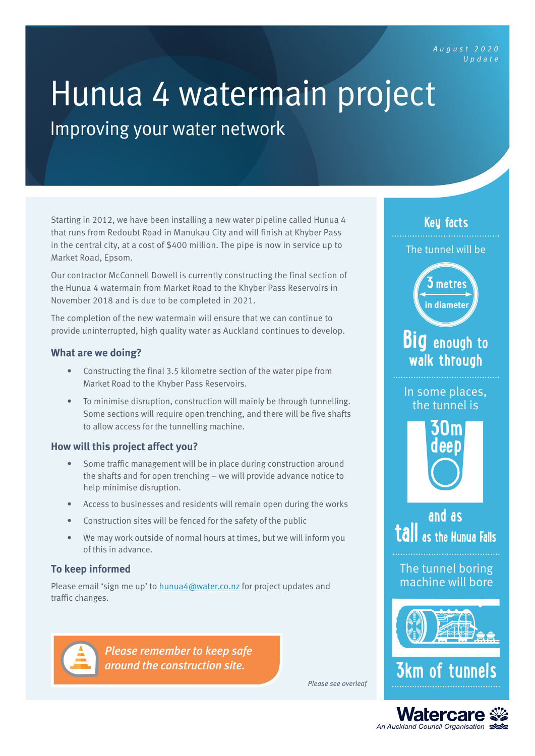August <sup>2020</sup> Update

# Hunua 4 watermain project<br>Improving your water network

Starting in 2012, we have been installing a new water pipeline called Hunua 4 that runs from Redoubt Road in Manukau City and will finish at Khyber Pass in the central city, at a cost of \$400 million. The pipe is now in service up to Market Road, Epsom.

Our contractor McConnell Dowell is currently constructing the final section of the Hunua 4 watermain from Market Road to the Khyber Pass Reservoirs in November 2018 and is due to be completed in 2021.

The completion of the new watermain will ensure that we can continue to provide uninterrupted, high quality water as Auckland continues to develop.

### **What are we doing?**

- Constructing the final 3.5 kilometre section of the water pipe from Market Road to the Khyber Pass Reservoirs.
- To minimise disruption, construction will mainly be through tunnelling. Some sections will require open trenching, and there will be five shafts to allow access for the tunnelling machine.

# **How will this project affect you?**

- Some traffic management will be in place during construction around the shafts and for open trenching – we will provide advance notice to help minimise disruption.
- Access to businesses and residents will remain open during the works
- Construction sites will be fenced for the safety of the public
- We may work outside of normal hours at times, but we will inform you of this in advance.

# **To keep informed**

Please email 'sign me up' to [hunua4@water.co.nz](mailto:hunua4%40water.co.nz?subject=) for project updates and traffic changes.



*Please remember to keep safe around the construction site.*

**Key facts**

The tunnel will be



**Big enough to walk through**

In some places, the tunnel is



**and as tall as the Hunua Falls**

The tunnel boring machine will bore



**3km of tung** 

Please see overleaf